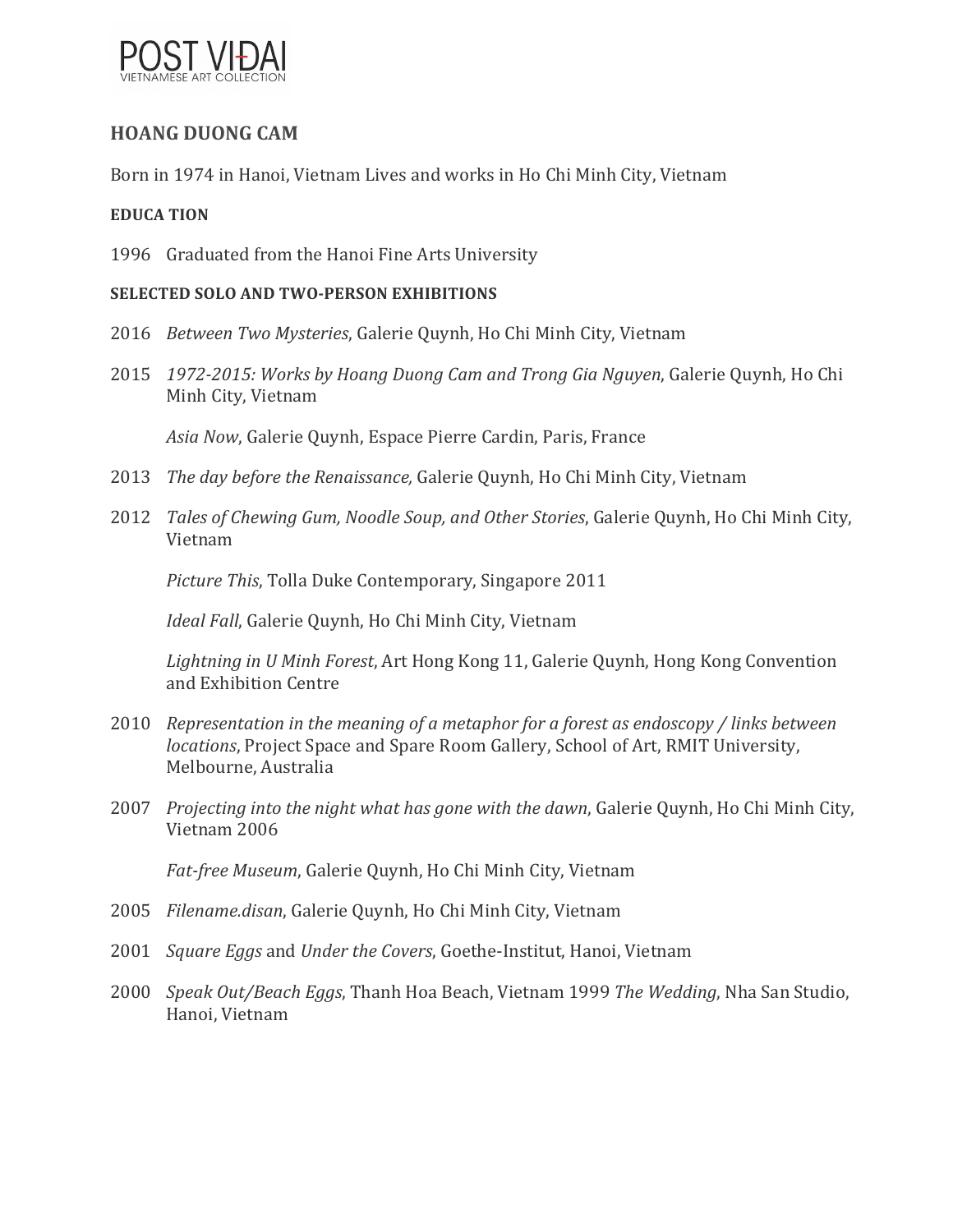

## **HOANG DUONG CAM**

Born in 1974 in Hanoi, Vietnam Lives and works in Ho Chi Minh City, Vietnam

### **EDUCA TION**

1996 Graduated from the Hanoi Fine Arts University

#### **SELECTED SOLO AND TWO-PERSON EXHIBITIONS**

- 2016 *Between Two Mysteries*, Galerie Quynh, Ho Chi Minh City, Vietnam
- 2015 *1972-2015: Works by Hoang Duong Cam and Trong Gia Nguyen*, Galerie Quynh, Ho Chi Minh City, Vietnam

Asia Now, Galerie Quynh, Espace Pierre Cardin, Paris, France

- 2013 *The day before the Renaissance,* Galerie Quynh, Ho Chi Minh City, Vietnam
- 2012 *Tales of Chewing Gum, Noodle Soup, and Other Stories*, Galerie Quynh, Ho Chi Minh City, Vietnam

*Picture This, Tolla Duke Contemporary, Singapore 2011* 

*Ideal Fall*, Galerie Quynh, Ho Chi Minh City, Vietnam

*Lightning in U Minh Forest*, Art Hong Kong 11, Galerie Quynh, Hong Kong Convention and Exhibition Centre

- 2010 Representation in the meaning of a metaphor for a forest as endoscopy / links between *locations*, Project Space and Spare Room Gallery, School of Art, RMIT University, Melbourne, Australia
- 2007 *Projecting into the night what has gone with the dawn*, Galerie Quynh, Ho Chi Minh City, Vietnam 2006

Fat-free Museum, Galerie Ouynh, Ho Chi Minh City, Vietnam

- 2005 Filename.disan, Galerie Quynh, Ho Chi Minh City, Vietnam
- 2001 Square Eggs and Under the Covers, Goethe-Institut, Hanoi, Vietnam
- 2000 *Speak Out/Beach Eggs*, Thanh Hoa Beach, Vietnam 1999 *The Wedding*, Nha San Studio, Hanoi, Vietnam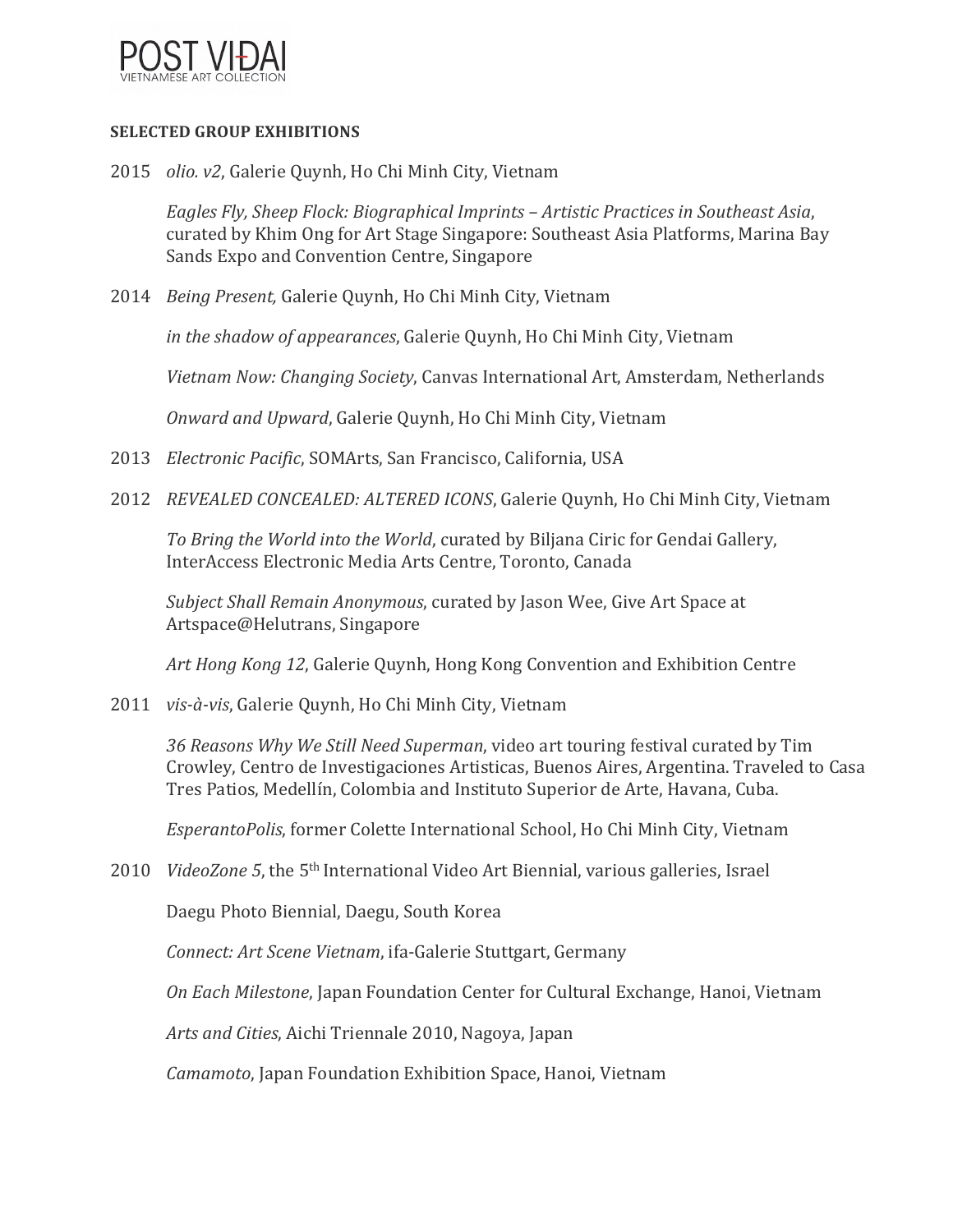

#### **SELECTED GROUP EXHIBITIONS**

2015 *olio.* v2, Galerie Quynh, Ho Chi Minh City, Vietnam

*Eagles Fly, Sheep Flock: Biographical Imprints – Artistic Practices in Southeast Asia*, curated by Khim Ong for Art Stage Singapore: Southeast Asia Platforms, Marina Bay Sands Expo and Convention Centre, Singapore

2014 *Being Present,* Galerie Quynh, Ho Chi Minh City, Vietnam

*in the shadow of appearances*, Galerie Quynh, Ho Chi Minh City, Vietnam

Vietnam Now: Changing Society, Canvas International Art, Amsterdam, Netherlands

*Onward and Upward*, Galerie Quynh, Ho Chi Minh City, Vietnam

- 2013 *Electronic Pacific*, SOMArts, San Francisco, California, USA
- 2012 *REVEALED CONCEALED: ALTERED ICONS*, Galerie Quynh, Ho Chi Minh City, Vietnam

*To Bring the World into the World*, curated by Biljana Ciric for Gendai Gallery, InterAccess Electronic Media Arts Centre, Toronto, Canada

*Subject Shall Remain Anonymous, curated by Jason Wee, Give Art Space at* Artspace@Helutrans, Singapore

Art Hong Kong 12, Galerie Quynh, Hong Kong Convention and Exhibition Centre

2011 vis-à-vis, Galerie Quynh, Ho Chi Minh City, Vietnam

36 Reasons Why We Still Need Superman, video art touring festival curated by Tim Crowley, Centro de Investigaciones Artisticas, Buenos Aires, Argentina. Traveled to Casa Tres Patios, Medellín, Colombia and Instituto Superior de Arte, Havana, Cuba.

*EsperantoPolis*, former Colette International School, Ho Chi Minh City, Vietnam

2010 *VideoZone* 5, the 5<sup>th</sup> International Video Art Biennial, various galleries, Israel

Daegu Photo Biennial, Daegu, South Korea

*Connect: Art Scene Vietnam, ifa-Galerie Stuttgart, Germany* 

*On Each Milestone*, Japan Foundation Center for Cultural Exchange, Hanoi, Vietnam

Arts and Cities, Aichi Triennale 2010, Nagoya, Japan

*Camamoto*, Japan Foundation Exhibition Space, Hanoi, Vietnam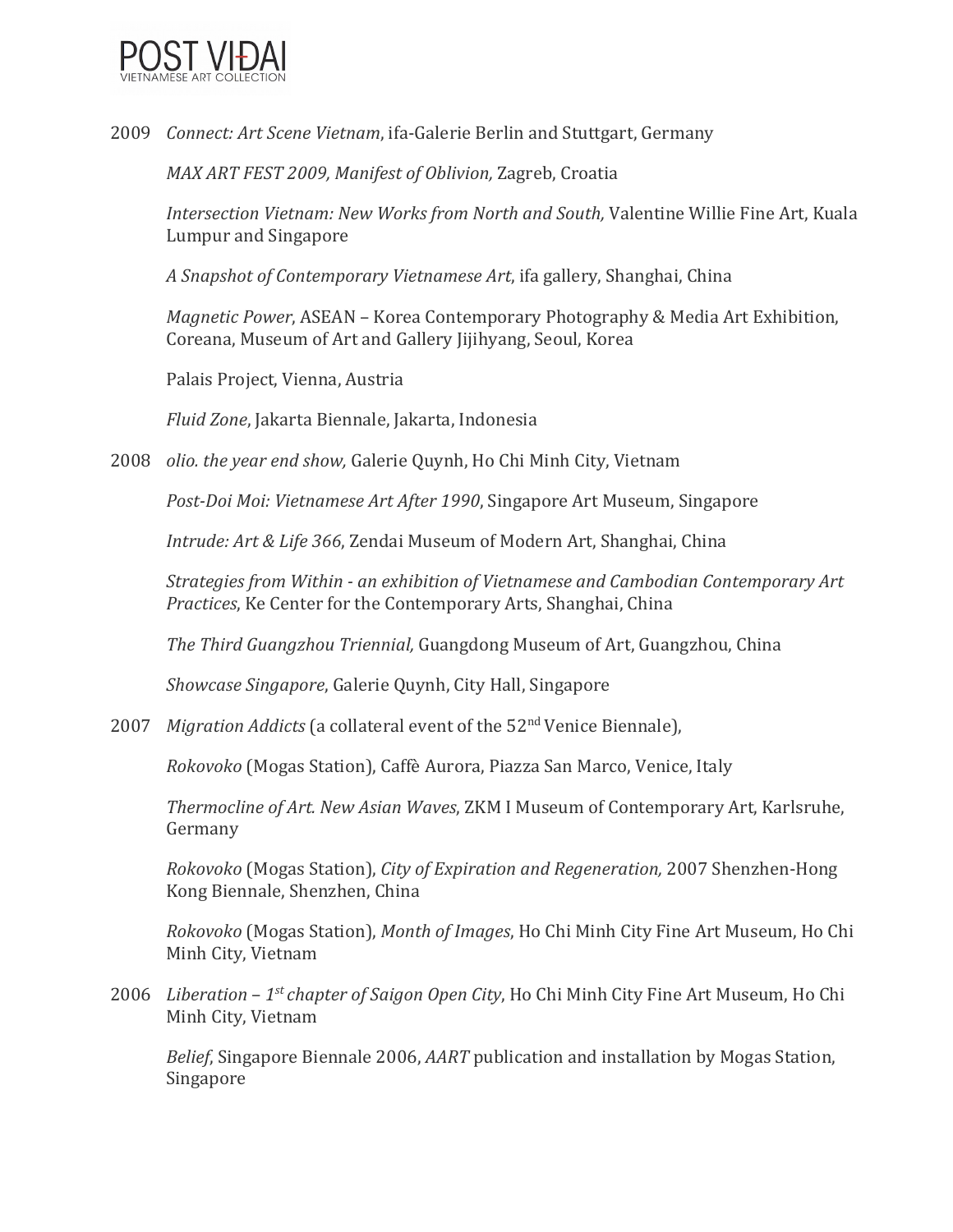

2009 *Connect: Art Scene Vietnam*, ifa-Galerie Berlin and Stuttgart, Germany

*MAX ART FEST 2009, Manifest of Oblivion, Zagreb, Croatia* 

*Intersection Vietnam: New Works from North and South,* Valentine Willie Fine Art, Kuala Lumpur and Singapore

A Snapshot of Contemporary Vietnamese Art, ifa gallery, Shanghai, China

*Magnetic Power*, ASEAN – Korea Contemporary Photography & Media Art Exhibition, Coreana, Museum of Art and Gallery Jijihyang, Seoul, Korea

Palais Project, Vienna, Austria

*Fluid Zone*, Jakarta Biennale, Jakarta, Indonesia

2008 *olio. the year end show,* Galerie Quynh, Ho Chi Minh City, Vietnam

*Post-Doi Moi: Vietnamese Art After 1990*, Singapore Art Museum, Singapore

*Intrude: Art & Life 366, Zendai Museum of Modern Art, Shanghai, China* 

*Strategies from Within - an exhibition of Vietnamese and Cambodian Contemporary Art Practices*, Ke Center for the Contemporary Arts, Shanghai, China

*The Third Guangzhou Triennial,* Guangdong Museum of Art, Guangzhou, China

*Showcase Singapore, Galerie Quynh, City Hall, Singapore* 

2007 *Migration Addicts* (a collateral event of the 52<sup>nd</sup> Venice Biennale),

*Rokovoko* (Mogas Station), Caffè Aurora, Piazza San Marco, Venice, Italy 

*Thermocline of Art. New Asian Waves, ZKM I Museum of Contemporary Art, Karlsruhe,* Germany 

*Rokovoko* (Mogas Station), *City of Expiration and Regeneration,* 2007 Shenzhen-Hong Kong Biennale, Shenzhen, China

*Rokovoko* (Mogas Station), *Month of Images*, Ho Chi Minh City Fine Art Museum. Ho Chi Minh City, Vietnam

2006 *Liberation* – 1<sup>st</sup> chapter of Saigon Open City, Ho Chi Minh City Fine Art Museum, Ho Chi Minh City, Vietnam

*Belief*, Singapore Biennale 2006, *AART* publication and installation by Mogas Station, Singapore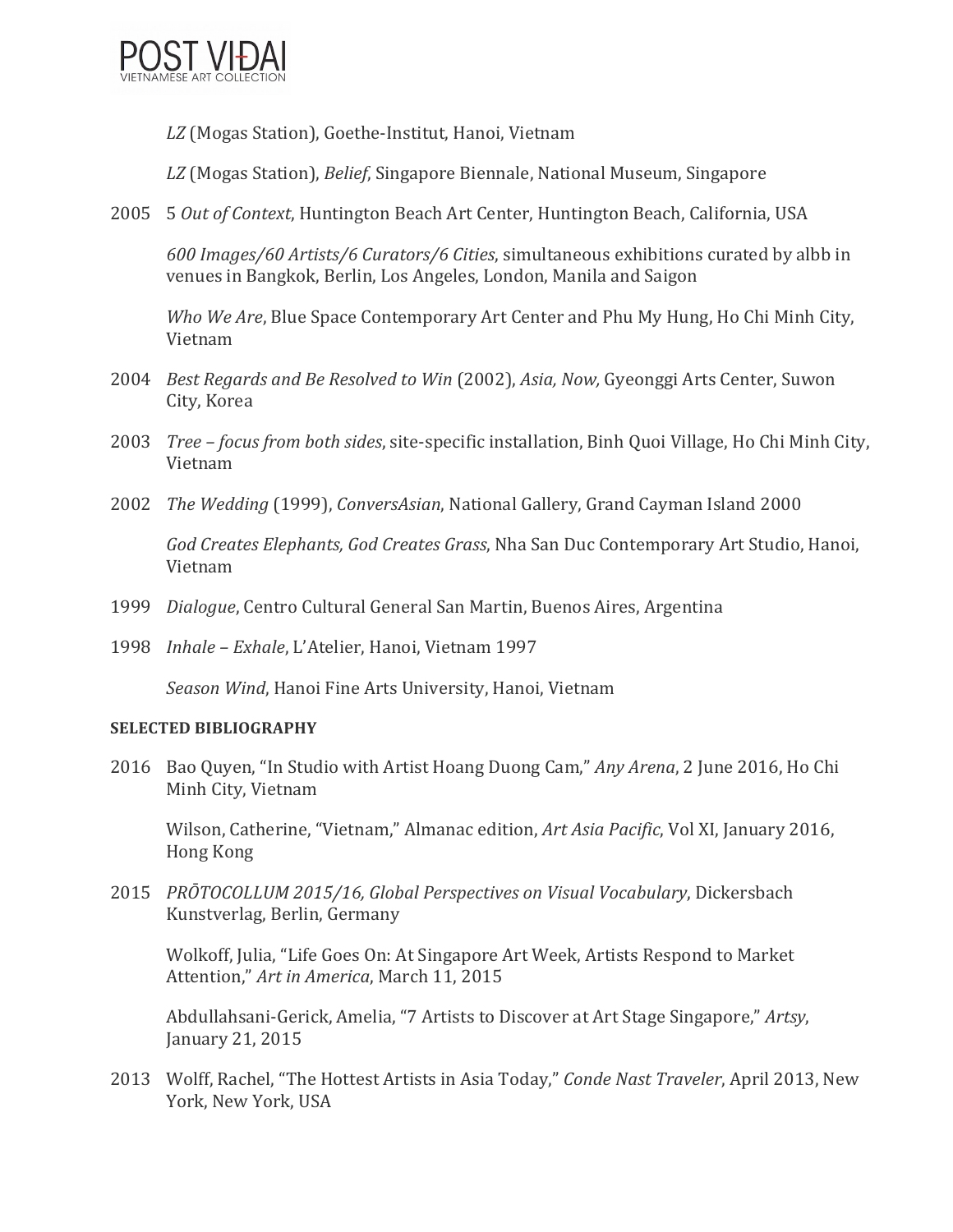

LZ (Mogas Station), Goethe-Institut, Hanoi, Vietnam

*LZ* (Mogas Station), *Belief*, Singapore Biennale, National Museum, Singapore 

2005 5 Out of Context, Huntington Beach Art Center, Huntington Beach, California, USA

*600 Images/60 Artists/6 Curators/6 Cities*, simultaneous exhibitions curated by albb in venues in Bangkok, Berlin, Los Angeles, London, Manila and Saigon

*Who We Are*, Blue Space Contemporary Art Center and Phu My Hung, Ho Chi Minh City, Vietnam 

- 2004 *Best Regards and Be Resolved to Win* (2002), *Asia, Now, Gyeonggi Arts Center, Suwon* City, Korea
- 2003 *Tree focus from both sides*, site-specific installation, Binh Quoi Village, Ho Chi Minh City, Vietnam
- 2002 *The Wedding* (1999), *ConversAsian*, National Gallery, Grand Cayman Island 2000

God Creates Elephants, God Creates Grass, Nha San Duc Contemporary Art Studio, Hanoi, Vietnam 

- 1999 *Dialogue*, Centro Cultural General San Martin, Buenos Aires, Argentina
- 1998 *Inhale Exhale, L'Atelier, Hanoi, Vietnam* 1997

*Season Wind*, Hanoi Fine Arts University, Hanoi, Vietnam

#### **SELECTED BIBLIOGRAPHY**

2016 Bao Quyen, "In Studio with Artist Hoang Duong Cam," *Any Arena*, 2 June 2016, Ho Chi Minh City, Vietnam

Wilson, Catherine, "Vietnam," Almanac edition, Art Asia Pacific, Vol XI, January 2016, Hong Kong

2015 *PRŌTOCOLLUM 2015/16, Global Perspectives on Visual Vocabulary*, Dickersbach Kunstverlag, Berlin, Germany

Wolkoff, Julia, "Life Goes On: At Singapore Art Week, Artists Respond to Market Attention," Art in America, March 11, 2015

Abdullahsani-Gerick, Amelia, "7 Artists to Discover at Art Stage Singapore," Artsy, January 21, 2015 

2013 Wolff, Rachel, "The Hottest Artists in Asia Today," *Conde Nast Traveler*, April 2013, New York, New York, USA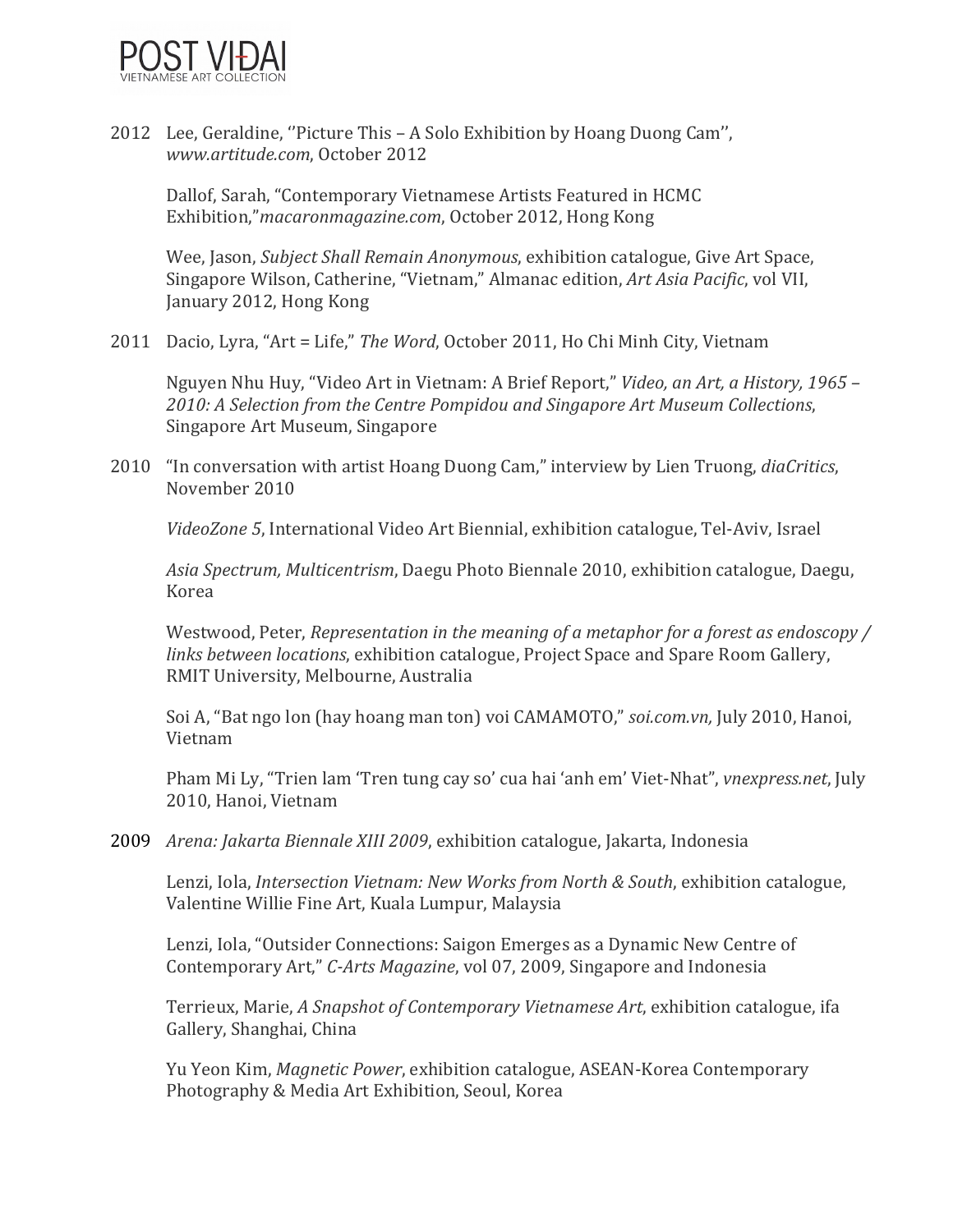

2012 Lee, Geraldine, "Picture This - A Solo Exhibition by Hoang Duong Cam", *www.artitude.com*, October 2012 

Dallof, Sarah, "Contemporary Vietnamese Artists Featured in HCMC Exhibition,"*macaronmagazine.com*, October 2012, Hong Kong

Wee, Jason, *Subject Shall Remain Anonymous*, exhibition catalogue, Give Art Space, Singapore Wilson, Catherine, "Vietnam," Almanac edition, Art Asia Pacific, vol VII, January 2012, Hong Kong

2011 Dacio, Lyra, "Art = Life," The Word, October 2011, Ho Chi Minh City, Vietnam

Nguyen Nhu Huy, "Video Art in Vietnam: A Brief Report," *Video, an Art, a History, 1965 -*2010: A Selection from the Centre Pompidou and Singapore Art Museum Collections, Singapore Art Museum, Singapore

2010 "In conversation with artist Hoang Duong Cam," interview by Lien Truong, *diaCritics*, November 2010 

*VideoZone* 5, International Video Art Biennial, exhibition catalogue, Tel-Aviv, Israel

*Asia Spectrum, Multicentrism, Daegu Photo Biennale 2010, exhibition catalogue, Daegu,* Korea 

Westwood, Peter, *Representation* in the meaning of a metaphor for a forest as endoscopy / *links between locations*, exhibition catalogue, Project Space and Spare Room Gallery, RMIT University, Melbourne, Australia

Soi A, "Bat ngo lon (hay hoang man ton) voi CAMAMOTO," soi.com.vn, July 2010, Hanoi, Vietnam 

Pham Mi Ly, "Trien lam 'Tren tung cay so' cua hai 'anh em' Viet-Nhat", *ynexpress.net*, July 2010, Hanoi, Vietnam

2009 *Arena: Jakarta Biennale XIII 2009*, exhibition catalogue, Jakarta, Indonesia

Lenzi, Iola, *Intersection Vietnam: New Works from North & South*, exhibition catalogue, Valentine Willie Fine Art, Kuala Lumpur, Malaysia

Lenzi, Iola, "Outsider Connections: Saigon Emerges as a Dynamic New Centre of Contemporary Art," C-Arts Magazine, vol 07, 2009, Singapore and Indonesia

Terrieux, Marie, *A Snapshot of Contemporary Vietnamese Art*, exhibition catalogue, ifa Gallery, Shanghai, China

Yu Yeon Kim, *Magnetic Power*, exhibition catalogue, ASEAN-Korea Contemporary Photography & Media Art Exhibition, Seoul, Korea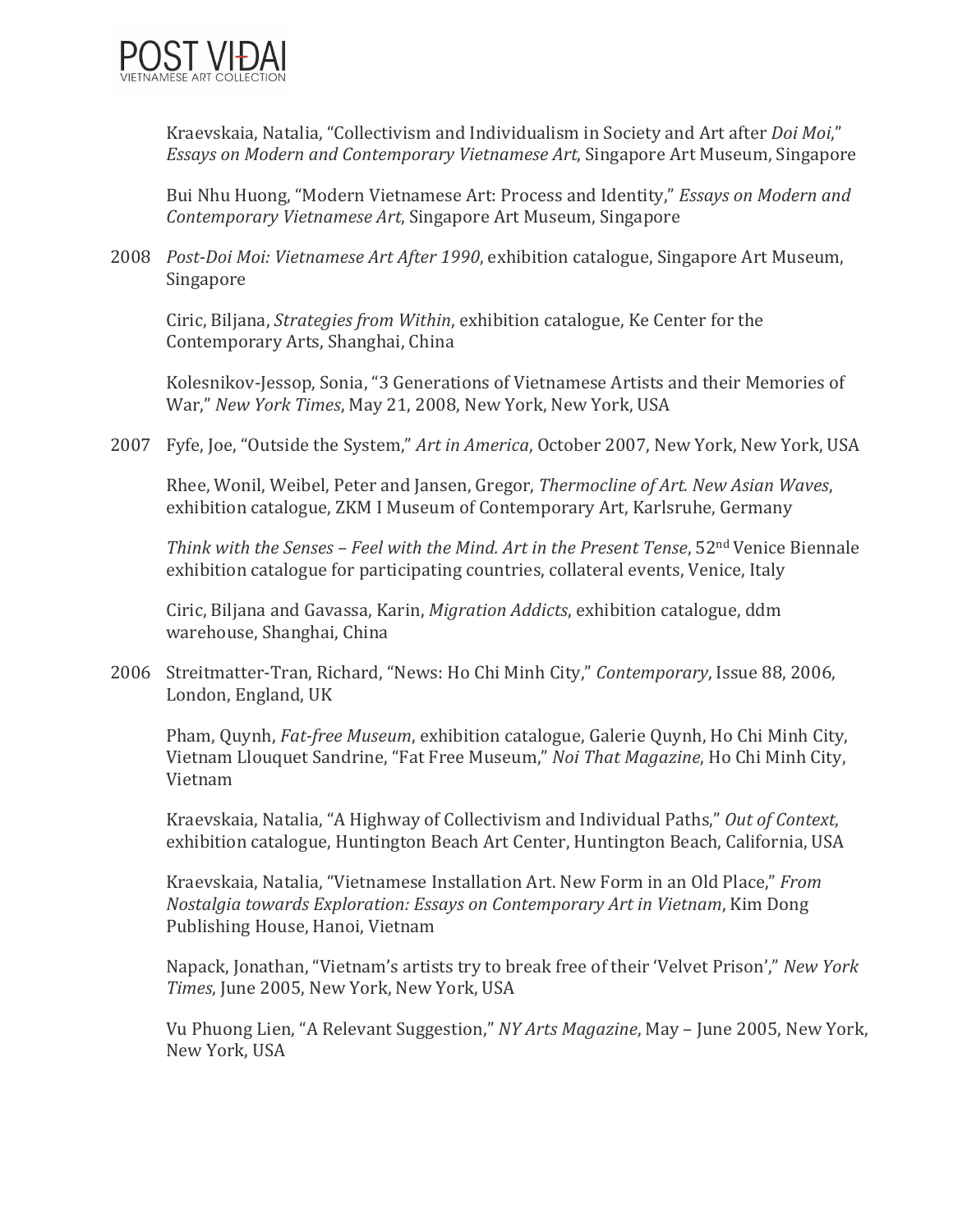

Kraevskaia, Natalia, "Collectivism and Individualism in Society and Art after *Doi Moi*," *Essays* on Modern and Contemporary Vietnamese Art, Singapore Art Museum, Singapore

Bui Nhu Huong, "Modern Vietnamese Art: Process and Identity," *Essays on Modern and Contemporary Vietnamese Art*, Singapore Art Museum, Singapore 

2008 *Post-Doi Moi: Vietnamese Art After 1990*, exhibition catalogue, Singapore Art Museum, Singapore 

Ciric, Biljana, *Strategies from Within*, exhibition catalogue, Ke Center for the Contemporary Arts, Shanghai, China

Kolesnikov-Jessop, Sonia, "3 Generations of Vietnamese Artists and their Memories of War," New York Times, May 21, 2008, New York, New York, USA

2007 Fyfe, Joe, "Outside the System," Art in America, October 2007, New York, New York, USA

Rhee, Wonil, Weibel, Peter and Jansen, Gregor, *Thermocline of Art. New Asian Waves*, exhibition catalogue, ZKM I Museum of Contemporary Art, Karlsruhe, Germany

*Think with the Senses – Feel with the Mind. Art in the Present Tense*, 52<sup>nd</sup> Venice Biennale exhibition catalogue for participating countries, collateral events, Venice, Italy

Ciric, Biljana and Gavassa, Karin, *Migration Addicts*, exhibition catalogue, ddm warehouse, Shanghai, China

2006 Streitmatter-Tran, Richard, "News: Ho Chi Minh City," *Contemporary*, Issue 88, 2006, London, England, UK

Pham, Quynh, *Fat-free Museum*, exhibition catalogue, Galerie Quynh, Ho Chi Minh City, Vietnam Llouquet Sandrine, "Fat Free Museum," *Noi That Magazine*, Ho Chi Minh City, Vietnam 

Kraevskaia, Natalia, "A Highway of Collectivism and Individual Paths," Out of Context, exhibition catalogue, Huntington Beach Art Center, Huntington Beach, California, USA

Kraevskaia, Natalia, "Vietnamese Installation Art. New Form in an Old Place," *From Nostalgia towards Exploration: Essays on Contemporary Art in Vietnam, Kim Dong* Publishing House, Hanoi, Vietnam

Napack, Jonathan, "Vietnam's artists try to break free of their 'Velvet Prison'," New York *Times*, June 2005, New York, New York, USA

Vu Phuong Lien, "A Relevant Suggestion," *NY Arts Magazine*, May – June 2005, New York, New York, USA